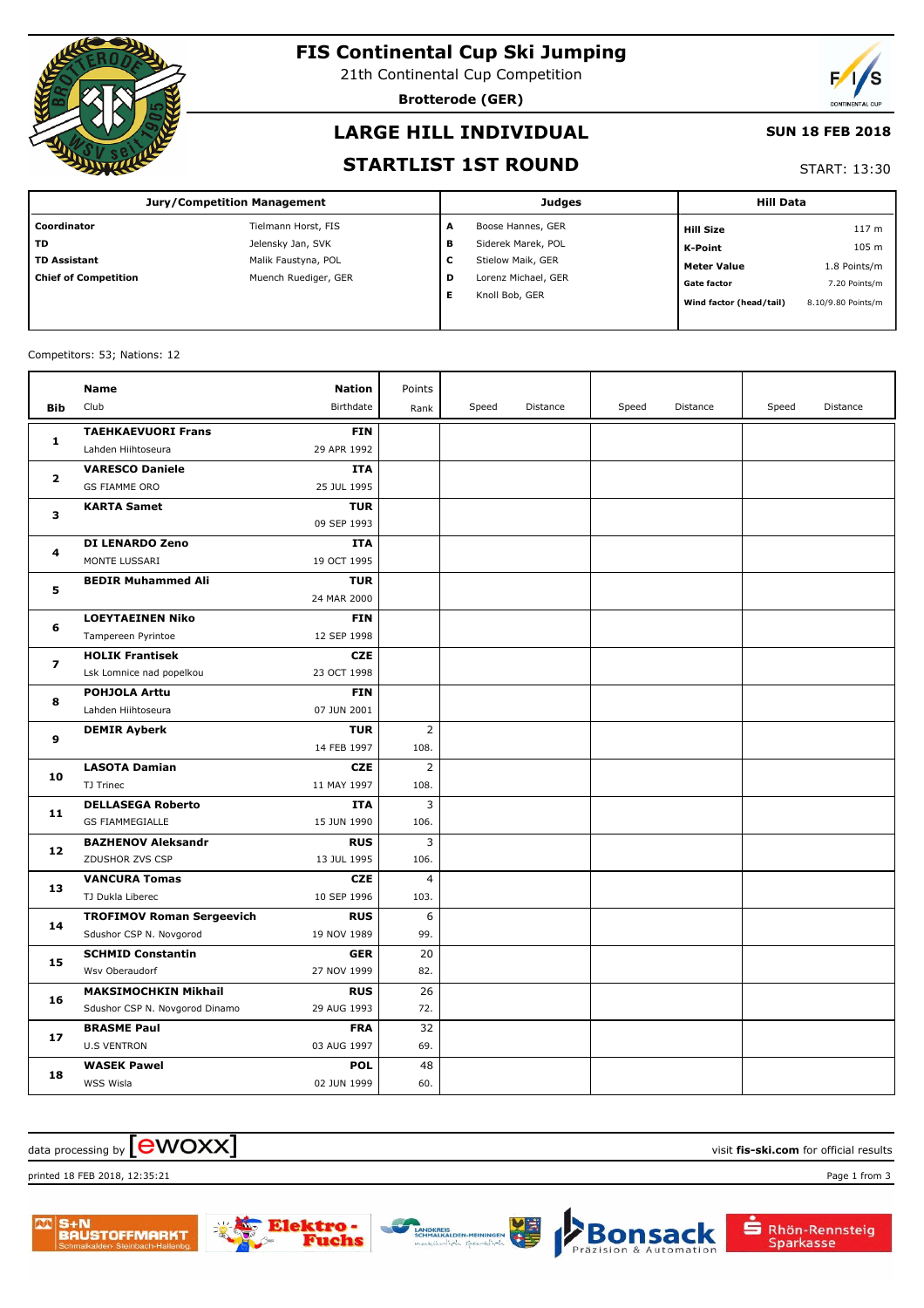

# **FIS Continental Cup Ski Jumping**

21th Continental Cup Competition

**Brotterode (GER)**



### **LARGE HILL INDIVIDUAL**

#### **SUN 18 FEB 2018**

#### **STARTLIST 1ST ROUND**

#### START: 13:30

| <b>Jury/Competition Management</b> |                      |   | <b>Judges</b>       | <b>Hill Data</b> |                         |                    |
|------------------------------------|----------------------|---|---------------------|------------------|-------------------------|--------------------|
| Coordinator                        | Tielmann Horst, FIS  | A | Boose Hannes, GER   |                  | <b>Hill Size</b>        | 117 <sub>m</sub>   |
| <b>TD</b>                          | Jelensky Jan, SVK    | в | Siderek Marek, POL  |                  | <b>K-Point</b>          | 105 m              |
| <b>TD Assistant</b>                | Malik Faustyna, POL  | c | Stielow Maik, GER   |                  | <b>Meter Value</b>      | 1.8 Points/m       |
| <b>Chief of Competition</b>        | Muench Ruediger, GER | D | Lorenz Michael, GER |                  | <b>Gate factor</b>      | 7.20 Points/m      |
|                                    |                      | Е | Knoll Bob, GER      |                  | Wind factor (head/tail) | 8.10/9.80 Points/m |

#### Competitors: 53; Nations: 12

|              | Name                             | <b>Nation</b> | Points         |       |          |       |          |       |          |
|--------------|----------------------------------|---------------|----------------|-------|----------|-------|----------|-------|----------|
| <b>Bib</b>   | Club                             | Birthdate     | Rank           | Speed | Distance | Speed | Distance | Speed | Distance |
| 1            | <b>TAEHKAEVUORI Frans</b>        | <b>FIN</b>    |                |       |          |       |          |       |          |
|              | Lahden Hiihtoseura               | 29 APR 1992   |                |       |          |       |          |       |          |
| $\mathbf{z}$ | <b>VARESCO Daniele</b>           | <b>ITA</b>    |                |       |          |       |          |       |          |
|              | <b>GS FIAMME ORO</b>             | 25 JUL 1995   |                |       |          |       |          |       |          |
| 3            | <b>KARTA Samet</b>               | <b>TUR</b>    |                |       |          |       |          |       |          |
|              |                                  | 09 SEP 1993   |                |       |          |       |          |       |          |
| 4            | <b>DI LENARDO Zeno</b>           | ITA           |                |       |          |       |          |       |          |
|              | MONTE LUSSARI                    | 19 OCT 1995   |                |       |          |       |          |       |          |
| 5            | <b>BEDIR Muhammed Ali</b>        | <b>TUR</b>    |                |       |          |       |          |       |          |
|              |                                  | 24 MAR 2000   |                |       |          |       |          |       |          |
| 6            | <b>LOEYTAEINEN Niko</b>          | <b>FIN</b>    |                |       |          |       |          |       |          |
|              | Tampereen Pyrintoe               | 12 SEP 1998   |                |       |          |       |          |       |          |
| 7            | <b>HOLIK Frantisek</b>           | <b>CZE</b>    |                |       |          |       |          |       |          |
|              | Lsk Lomnice nad popelkou         | 23 OCT 1998   |                |       |          |       |          |       |          |
| 8            | <b>POHJOLA Arttu</b>             | <b>FIN</b>    |                |       |          |       |          |       |          |
|              | Lahden Hiihtoseura               | 07 JUN 2001   |                |       |          |       |          |       |          |
| 9            | <b>DEMIR Ayberk</b>              | <b>TUR</b>    | $\overline{2}$ |       |          |       |          |       |          |
|              |                                  | 14 FEB 1997   | 108.           |       |          |       |          |       |          |
| 10           | <b>LASOTA Damian</b>             | <b>CZE</b>    | $\overline{2}$ |       |          |       |          |       |          |
|              | TJ Trinec                        | 11 MAY 1997   | 108.           |       |          |       |          |       |          |
| 11           | <b>DELLASEGA Roberto</b>         | <b>ITA</b>    | 3              |       |          |       |          |       |          |
|              | <b>GS FIAMMEGIALLE</b>           | 15 JUN 1990   | 106.           |       |          |       |          |       |          |
| 12           | <b>BAZHENOV Aleksandr</b>        | <b>RUS</b>    | 3              |       |          |       |          |       |          |
|              | ZDUSHOR ZVS CSP                  | 13 JUL 1995   | 106.           |       |          |       |          |       |          |
| 13           | <b>VANCURA Tomas</b>             | <b>CZE</b>    | $\overline{4}$ |       |          |       |          |       |          |
|              | TJ Dukla Liberec                 | 10 SEP 1996   | 103.           |       |          |       |          |       |          |
| 14           | <b>TROFIMOV Roman Sergeevich</b> | <b>RUS</b>    | 6              |       |          |       |          |       |          |
|              | Sdushor CSP N. Novgorod          | 19 NOV 1989   | 99.            |       |          |       |          |       |          |
| 15           | <b>SCHMID Constantin</b>         | <b>GER</b>    | 20             |       |          |       |          |       |          |
|              | Wsv Oberaudorf                   | 27 NOV 1999   | 82.            |       |          |       |          |       |          |
| 16           | <b>MAKSIMOCHKIN Mikhail</b>      | <b>RUS</b>    | 26             |       |          |       |          |       |          |
|              | Sdushor CSP N. Novgorod Dinamo   | 29 AUG 1993   | 72.            |       |          |       |          |       |          |
| 17           | <b>BRASME Paul</b>               | <b>FRA</b>    | 32             |       |          |       |          |       |          |
|              | <b>U.S VENTRON</b>               | 03 AUG 1997   | 69.            |       |          |       |          |       |          |
| 18           | <b>WASEK Pawel</b>               | <b>POL</b>    | 48             |       |          |       |          |       |          |
|              | WSS Wisla                        | 02 JUN 1999   | 60.            |       |          |       |          |       |          |

### $\alpha$  data processing by  $\boxed{\text{ewOX}}$

printed 18 FEB 2018, 12:35:21 Page 1 from 3





**S** Rhön-Rennsteig Sparkasse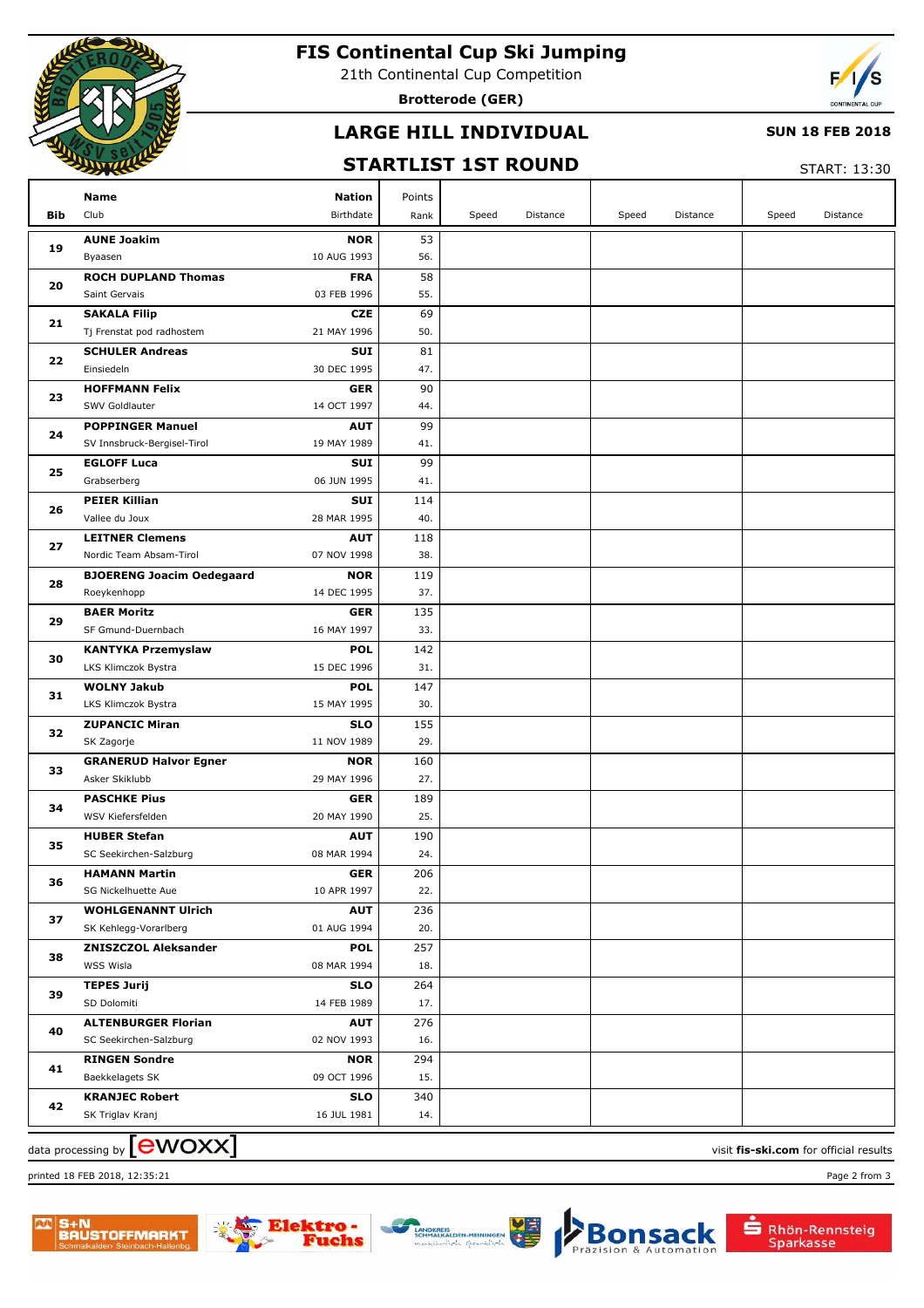

# **FIS Continental Cup Ski Jumping**

21th Continental Cup Competition

**Brotterode (GER)**



### **LARGE HILL INDIVIDUAL**

#### **SUN 18 FEB 2018**

### **STARTLIST 1ST ROUND**

START: 13:30

| Bib            | Name<br>Club                               | <b>Nation</b><br>Birthdate | Points<br>Rank | Speed | Distance | Speed | Distance | Speed | Distance |
|----------------|--------------------------------------------|----------------------------|----------------|-------|----------|-------|----------|-------|----------|
|                | <b>AUNE Joakim</b>                         | <b>NOR</b>                 | 53             |       |          |       |          |       |          |
| 19             | Byaasen                                    | 10 AUG 1993                | 56.            |       |          |       |          |       |          |
| 20             | <b>ROCH DUPLAND Thomas</b>                 | <b>FRA</b>                 | 58             |       |          |       |          |       |          |
|                | Saint Gervais                              | 03 FEB 1996                | 55.            |       |          |       |          |       |          |
| 21             | <b>SAKALA Filip</b>                        | <b>CZE</b>                 | 69             |       |          |       |          |       |          |
|                | Tj Frenstat pod radhostem                  | 21 MAY 1996                | 50.            |       |          |       |          |       |          |
| 22             | <b>SCHULER Andreas</b>                     | SUI                        | 81             |       |          |       |          |       |          |
|                | Einsiedeln                                 | 30 DEC 1995                | 47.            |       |          |       |          |       |          |
| 23             | <b>HOFFMANN Felix</b>                      | <b>GER</b>                 | 90             |       |          |       |          |       |          |
|                | SWV Goldlauter                             | 14 OCT 1997                | 44.            |       |          |       |          |       |          |
| 24             | <b>POPPINGER Manuel</b>                    | <b>AUT</b>                 | 99             |       |          |       |          |       |          |
|                | SV Innsbruck-Bergisel-Tirol                | 19 MAY 1989                | 41.            |       |          |       |          |       |          |
| 25             | <b>EGLOFF Luca</b>                         | SUI                        | 99             |       |          |       |          |       |          |
|                | Grabserberg                                | 06 JUN 1995                | 41.            |       |          |       |          |       |          |
| 26             | <b>PEIER Killian</b>                       | SUI                        | 114            |       |          |       |          |       |          |
|                | Vallee du Joux                             | 28 MAR 1995                | 40.            |       |          |       |          |       |          |
| 27             | <b>LEITNER Clemens</b>                     | <b>AUT</b>                 | 118            |       |          |       |          |       |          |
|                | Nordic Team Absam-Tirol                    | 07 NOV 1998                | 38.            |       |          |       |          |       |          |
| 28             | <b>BJOERENG Joacim Oedegaard</b>           | <b>NOR</b>                 | 119            |       |          |       |          |       |          |
| 29<br>30<br>31 | Roeykenhopp                                | 14 DEC 1995                | 37.            |       |          |       |          |       |          |
|                | <b>BAER Moritz</b>                         | <b>GER</b>                 | 135            |       |          |       |          |       |          |
|                | SF Gmund-Duernbach                         | 16 MAY 1997                | 33.            |       |          |       |          |       |          |
|                | <b>KANTYKA Przemyslaw</b>                  | <b>POL</b>                 | 142            |       |          |       |          |       |          |
|                | LKS Klimczok Bystra                        | 15 DEC 1996                | 31.            |       |          |       |          |       |          |
|                | <b>WOLNY Jakub</b>                         | <b>POL</b>                 | 147            |       |          |       |          |       |          |
|                | LKS Klimczok Bystra                        | 15 MAY 1995                | 30.            |       |          |       |          |       |          |
| 32             | <b>ZUPANCIC Miran</b>                      | <b>SLO</b><br>11 NOV 1989  | 155<br>29.     |       |          |       |          |       |          |
|                | SK Zagorje<br><b>GRANERUD Halvor Egner</b> | <b>NOR</b>                 | 160            |       |          |       |          |       |          |
| 33             | Asker Skiklubb                             | 29 MAY 1996                | 27.            |       |          |       |          |       |          |
|                | <b>PASCHKE Pius</b>                        | <b>GER</b>                 | 189            |       |          |       |          |       |          |
| 34             | WSV Kiefersfelden                          | 20 MAY 1990                | 25.            |       |          |       |          |       |          |
|                | <b>HUBER Stefan</b>                        | <b>AUT</b>                 | 190            |       |          |       |          |       |          |
| 35             | SC Seekirchen-Salzburg                     | 08 MAR 1994                | 24.            |       |          |       |          |       |          |
|                | <b>HAMANN Martin</b>                       | <b>GER</b>                 | 206            |       |          |       |          |       |          |
| 36             | SG Nickelhuette Aue                        | 10 APR 1997                | 22.            |       |          |       |          |       |          |
|                | <b>WOHLGENANNT Ulrich</b>                  | <b>AUT</b>                 | 236            |       |          |       |          |       |          |
| 37             | SK Kehlegg-Vorarlberg                      | 01 AUG 1994                | 20.            |       |          |       |          |       |          |
| 38             | <b>ZNISZCZOL Aleksander</b>                | <b>POL</b>                 | 257            |       |          |       |          |       |          |
|                | WSS Wisla                                  | 08 MAR 1994                | 18.            |       |          |       |          |       |          |
| 39             | <b>TEPES Jurij</b>                         | <b>SLO</b>                 | 264            |       |          |       |          |       |          |
|                | SD Dolomiti                                | 14 FEB 1989                | 17.            |       |          |       |          |       |          |
| 40             | <b>ALTENBURGER Florian</b>                 | <b>AUT</b>                 | 276            |       |          |       |          |       |          |
|                | SC Seekirchen-Salzburg                     | 02 NOV 1993                | 16.            |       |          |       |          |       |          |
|                | <b>RINGEN Sondre</b>                       | <b>NOR</b>                 | 294            |       |          |       |          |       |          |
| 41             | Baekkelagets SK                            | 09 OCT 1996                | 15.            |       |          |       |          |       |          |
|                | <b>KRANJEC Robert</b>                      | <b>SLO</b>                 | 340            |       |          |       |          |       |          |
| 42             | SK Triglav Kranj                           | 16 JUL 1981                | 14.            |       |          |       |          |       |          |

 $\frac{1}{2}$  data processing by  $\boxed{\text{ewOX}}$ 

printed 18 FEB 2018, 12:35:21 Page 2 from 3

Rhön-Rennsteig<br>Sparkasse

sack

tomation